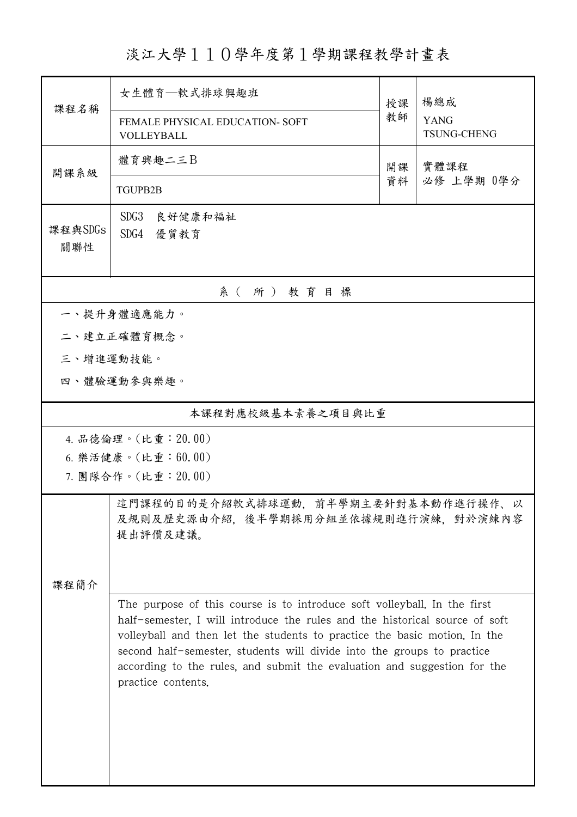淡江大學110學年度第1學期課程教學計畫表

| 課程名稱                                                                                               | 女生體育—軟式排球興趣班                                                                                                                                                                                                                                                                                                                                                                                                     | 授課         | 楊總成                               |  |  |  |
|----------------------------------------------------------------------------------------------------|------------------------------------------------------------------------------------------------------------------------------------------------------------------------------------------------------------------------------------------------------------------------------------------------------------------------------------------------------------------------------------------------------------------|------------|-----------------------------------|--|--|--|
|                                                                                                    | FEMALE PHYSICAL EDUCATION- SOFT<br>VOLLEYBALL                                                                                                                                                                                                                                                                                                                                                                    |            | <b>YANG</b><br><b>TSUNG-CHENG</b> |  |  |  |
| 開課系級                                                                                               | 體育興趣二三B                                                                                                                                                                                                                                                                                                                                                                                                          | 實體課程<br>開課 |                                   |  |  |  |
|                                                                                                    | <b>TGUPB2B</b>                                                                                                                                                                                                                                                                                                                                                                                                   | 資料         | 必修 上學期 0學分                        |  |  |  |
| 課程與SDGs<br>關聯性                                                                                     | SDG <sub>3</sub><br>良好健康和福祉<br>SDG4<br>優質教育                                                                                                                                                                                                                                                                                                                                                                      |            |                                   |  |  |  |
| 系(所)教育目標                                                                                           |                                                                                                                                                                                                                                                                                                                                                                                                                  |            |                                   |  |  |  |
| 一、提升身體適應能力。                                                                                        |                                                                                                                                                                                                                                                                                                                                                                                                                  |            |                                   |  |  |  |
|                                                                                                    | 二、建立正確體育概念。                                                                                                                                                                                                                                                                                                                                                                                                      |            |                                   |  |  |  |
| 三、增進運動技能。                                                                                          |                                                                                                                                                                                                                                                                                                                                                                                                                  |            |                                   |  |  |  |
|                                                                                                    | 四、體驗運動參與樂趣。                                                                                                                                                                                                                                                                                                                                                                                                      |            |                                   |  |  |  |
| 本課程對應校級基本素養之項目與比重                                                                                  |                                                                                                                                                                                                                                                                                                                                                                                                                  |            |                                   |  |  |  |
| 4. 品德倫理。(比重: 20.00)                                                                                |                                                                                                                                                                                                                                                                                                                                                                                                                  |            |                                   |  |  |  |
| 6. 樂活健康。(比重:60.00)                                                                                 |                                                                                                                                                                                                                                                                                                                                                                                                                  |            |                                   |  |  |  |
|                                                                                                    | 7. 團隊合作。(比重: 20.00)                                                                                                                                                                                                                                                                                                                                                                                              |            |                                   |  |  |  |
| 這門課程的目的是介紹軟式排球運動,前半學期主要針對基本動作進行操作、<br>以<br>及規則及歷史源由介紹,後半學期採用分組並依據規則進行演練,對於演練內容<br>提出評價及建議。<br>課程簡介 |                                                                                                                                                                                                                                                                                                                                                                                                                  |            |                                   |  |  |  |
|                                                                                                    | The purpose of this course is to introduce soft volleyball. In the first<br>half-semester, I will introduce the rules and the historical source of soft<br>volleyball and then let the students to practice the basic motion. In the<br>second half-semester, students will divide into the groups to practice<br>according to the rules, and submit the evaluation and suggestion for the<br>practice contents. |            |                                   |  |  |  |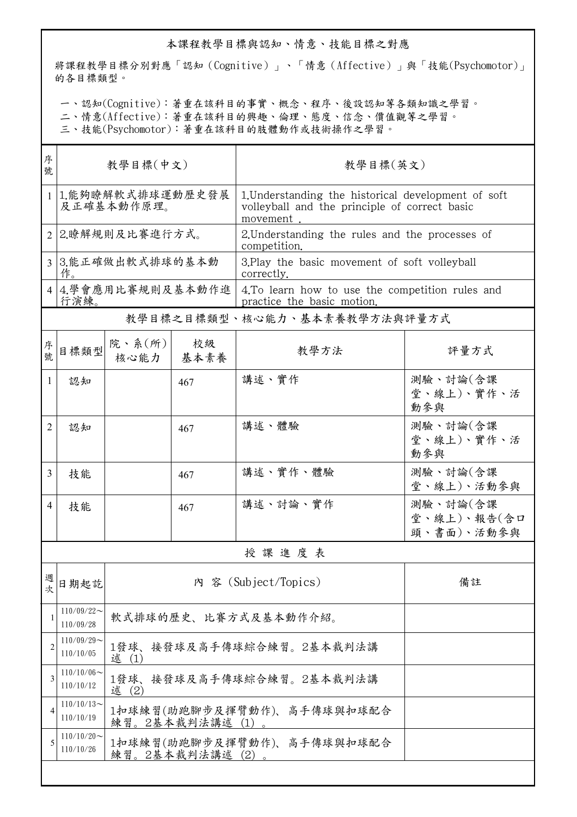## 本課程教學目標與認知、情意、技能目標之對應

將課程教學目標分別對應「認知(Cognitive)」、「情意(Affective)」與「技能(Psychomotor)」 的各目標類型。

一、認知(Cognitive):著重在該科目的事實、概念、程序、後設認知等各類知識之學習。

二、情意(Affective):著重在該科目的興趣、倫理、態度、信念、價值觀等之學習。

三、技能(Psychomotor):著重在該科目的肢體動作或技術操作之學習。

| 序<br>號         | 教學目標(中文)                       |                                                |            | 教學目標(英文)                                                                                                         |                                       |  |  |
|----------------|--------------------------------|------------------------------------------------|------------|------------------------------------------------------------------------------------------------------------------|---------------------------------------|--|--|
| $\mathbf{1}$   | 1.能夠瞭解軟式排球運動歷史發展<br>及正確基本動作原理。 |                                                |            | 1. Understanding the historical development of soft<br>volleyball and the principle of correct basic<br>movement |                                       |  |  |
|                | 2.瞭解規則及比賽進行方式。                 |                                                |            | 2. Understanding the rules and the processes of<br>competition.                                                  |                                       |  |  |
| $\overline{3}$ | 3.能正確做出軟式排球的基本動<br>作。          |                                                |            | 3. Play the basic movement of soft volleyball<br>correctly.                                                      |                                       |  |  |
| 4              | 行演練。                           | 4.學會應用比賽規則及基本動作進                               |            | 4. To learn how to use the competition rules and<br>practice the basic motion.                                   |                                       |  |  |
|                | 教學目標之目標類型、核心能力、基本素養教學方法與評量方式   |                                                |            |                                                                                                                  |                                       |  |  |
| 序<br>號         | 目標類型                           | 院、系 $(\kappa)$<br>核心能力                         | 校級<br>基本素養 | 教學方法                                                                                                             | 評量方式                                  |  |  |
| 1              | 認知                             |                                                | 467        | 講述、實作                                                                                                            | 測驗、討論(含課<br>堂、線上)、實作、活<br>動參與         |  |  |
| 2              | 認知                             |                                                | 467        | 講述、體驗                                                                                                            | 測驗、討論(含課<br>堂、線上)、實作、活<br>動參與         |  |  |
| 3              | 技能                             |                                                | 467        | 講述、實作、體驗                                                                                                         | 測驗、討論(含課<br>堂、線上)、活動參與                |  |  |
| 4              | 技能                             |                                                | 467        | 講述、討論、實作                                                                                                         | 測驗、討論(含課<br>堂、線上)、報告(含口<br>頭、書面)、活動參與 |  |  |
|                | 授課進度表                          |                                                |            |                                                                                                                  |                                       |  |  |
| 週<br>次         | 日期起訖                           | 内 容 (Subject/Topics)<br>備註                     |            |                                                                                                                  |                                       |  |  |
|                | $110/09/22$ ~<br>110/09/28     | 軟式排球的歷史、比賽方式及基本動作介紹。                           |            |                                                                                                                  |                                       |  |  |
| $\overline{2}$ | $110/09/29$ ~<br>110/10/05     | 1發球、<br>接發球及高手傳球綜合練習。2基本裁判法講<br>述 (1)          |            |                                                                                                                  |                                       |  |  |
| 3              | $110/10/06 \sim$<br>110/10/12  | 接發球及高手傳球綜合練習。2基本裁判法講<br>1發球、<br>述 (2)          |            |                                                                                                                  |                                       |  |  |
| 4              | $110/10/13$ ~<br>110/10/19     | 1扣球練習(助跑腳步及揮臂動作)、高手傳球與扣球配合<br>練習。2基本裁判法講述 (1)。 |            |                                                                                                                  |                                       |  |  |
| 5              | $110/10/20$ ~<br>110/10/26     | 1扣球練習(助跑腳步及揮臂動作)、高手傳球與扣球配合<br>練習。2基本裁判法講述 (2)。 |            |                                                                                                                  |                                       |  |  |
|                |                                |                                                |            |                                                                                                                  |                                       |  |  |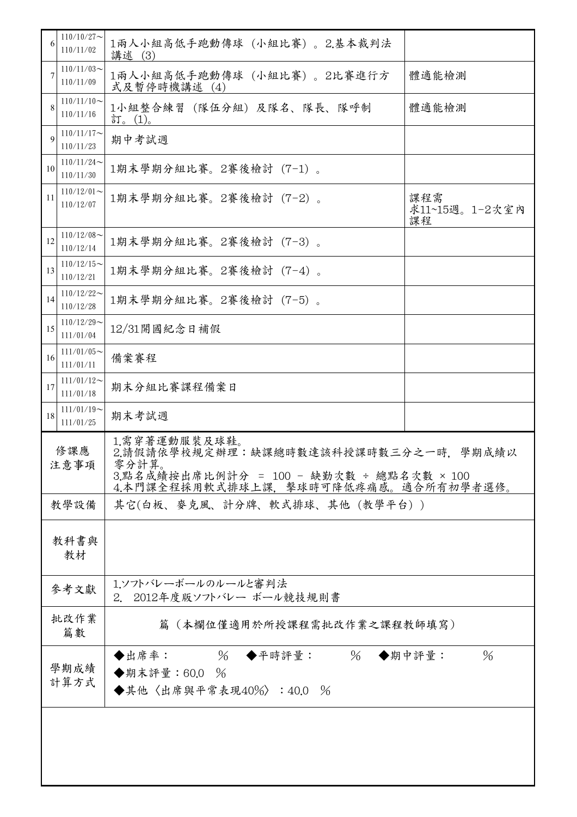| 6           | $110/10/27$ ~<br>110/11/02                               | 1兩人小組高低手跑動傳球 (小組比賽) 。2.基本裁判法<br>講述 (3)                                                                                                             |                             |  |  |
|-------------|----------------------------------------------------------|----------------------------------------------------------------------------------------------------------------------------------------------------|-----------------------------|--|--|
| 7           | $110/11/03$ ~<br>110/11/09                               | 1兩人小組高低手跑動傳球 (小組比賽)。2比賽進行方<br>式及暫停時機講述 (4)                                                                                                         | 體適能檢測                       |  |  |
|             | $110/11/10$ ~<br>110/11/16                               | 1小組整合練習 (隊伍分組) 及隊名、隊長、隊呼制<br>訂。(1)。                                                                                                                | 體適能檢測                       |  |  |
| $\mathbf Q$ | $110/11/17$ ~<br>110/11/23                               | 期中考試週                                                                                                                                              |                             |  |  |
| 10          | $110/11/24$ ~<br>110/11/30                               | 1期末學期分組比賽。2賽後檢討(7-1)。                                                                                                                              |                             |  |  |
| 11          | $110/12/01$ ~<br>110/12/07                               | 1期末學期分組比賽。2賽後檢討(7-2)。                                                                                                                              | 課程需<br>求11~15週。1-2次室內<br>課程 |  |  |
| 12          | $110/12/08$ ~<br>110/12/14                               | 1期末學期分組比賽。2賽後檢討(7-3)。                                                                                                                              |                             |  |  |
| 13          | $110/12/15$ ~<br>110/12/21                               | 1期末學期分組比賽。2賽後檢討(7-4)。                                                                                                                              |                             |  |  |
| 14          | $110/12/22$ ~<br>110/12/28                               | 1期末學期分組比賽。2賽後檢討(7-5)。                                                                                                                              |                             |  |  |
| 15          | $110/12/29$ ~<br>111/01/04                               | 12/31開國紀念日補假                                                                                                                                       |                             |  |  |
| 16          | $111/01/05$ ~<br>111/01/11                               | 備案賽程                                                                                                                                               |                             |  |  |
| 17          | $111/01/12$ ~<br>111/01/18                               | 期末分組比賽課程備案日                                                                                                                                        |                             |  |  |
| 18          | $111/01/19$ ~<br>111/01/25                               | 期末考試週                                                                                                                                              |                             |  |  |
| 修課應<br>注意事項 |                                                          | 1.需穿著運動服裝及球鞋。<br>2.請假請依學校規定辦理:缺課總時數達該科授課時數三分之一時,學期成績以<br>零分計算。<br>3.點名成績按出席比例計分 = 100 - 缺勤次數 ÷ 總點名次數 × 100<br>4.本門課全程採用軟式排球上課,擊球時可降低疼痛感。適合所有初學者選修。 |                             |  |  |
|             | 教學設備                                                     | 其它(白板、麥克風、計分牌、軟式排球、其他(教學平台))                                                                                                                       |                             |  |  |
|             | 教科書與<br>教材                                               |                                                                                                                                                    |                             |  |  |
|             | 1.ソフトバレーボールのルールと審判法<br>參考文獻<br>2. 2012年度版ソフトバレー ボール競技規則書 |                                                                                                                                                    |                             |  |  |
|             | 批改作業<br>篇(本欄位僅適用於所授課程需批改作業之課程教師填寫)<br>篇數                 |                                                                                                                                                    |                             |  |  |
|             | 學期成績<br>計算方式                                             | % ◆平時評量: 26 ◆期中評量:<br>◆出席率:<br>◆期末評量:60.0 %<br>◆其他〈出席與平常表現40%〉:40.0 %                                                                              | $\%$                        |  |  |
|             |                                                          |                                                                                                                                                    |                             |  |  |